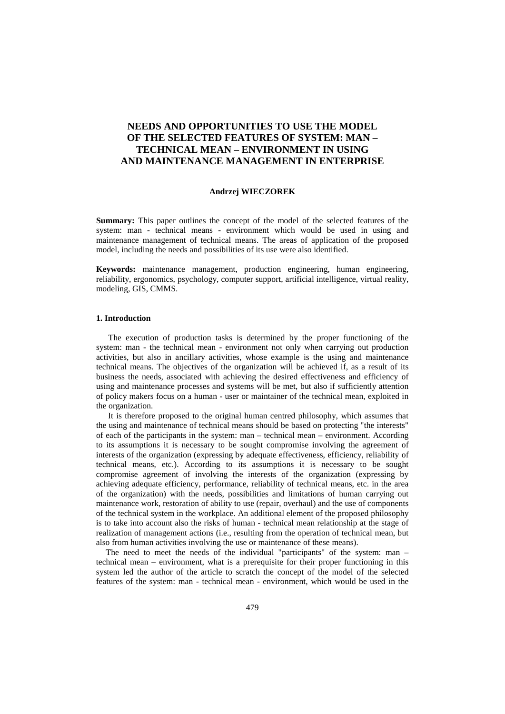# **NEEDS AND OPPORTUNITIES TO USE THE MODEL OF THE SELECTED FEATURES OF SYSTEM: MAN – TECHNICAL MEAN – ENVIRONMENT IN USING AND MAINTENANCE MANAGEMENT IN ENTERPRISE**

### **Andrzej WIECZOREK**

**Summary:** This paper outlines the concept of the model of the selected features of the system: man - technical means - environment which would be used in using and maintenance management of technical means. The areas of application of the proposed model, including the needs and possibilities of its use were also identified.

**Keywords:** maintenance management, production engineering, human engineering, reliability, ergonomics, psychology, computer support, artificial intelligence, virtual reality, modeling, GIS, CMMS.

### **1. Introduction**

The execution of production tasks is determined by the proper functioning of the system: man - the technical mean - environment not only when carrying out production activities, but also in ancillary activities, whose example is the using and maintenance technical means. The objectives of the organization will be achieved if, as a result of its business the needs, associated with achieving the desired effectiveness and efficiency of using and maintenance processes and systems will be met, but also if sufficiently attention of policy makers focus on a human - user or maintainer of the technical mean, exploited in the organization.

It is therefore proposed to the original human centred philosophy, which assumes that the using and maintenance of technical means should be based on protecting "the interests" of each of the participants in the system: man – technical mean – environment. According to its assumptions it is necessary to be sought compromise involving the agreement of interests of the organization (expressing by adequate effectiveness, efficiency, reliability of technical means, etc.). According to its assumptions it is necessary to be sought compromise agreement of involving the interests of the organization (expressing by achieving adequate efficiency, performance, reliability of technical means, etc. in the area of the organization) with the needs, possibilities and limitations of human carrying out maintenance work, restoration of ability to use (repair, overhaul) and the use of components of the technical system in the workplace. An additional element of the proposed philosophy is to take into account also the risks of human - technical mean relationship at the stage of realization of management actions (i.e., resulting from the operation of technical mean, but also from human activities involving the use or maintenance of these means).

The need to meet the needs of the individual "participants" of the system: man – technical mean – environment, what is a prerequisite for their proper functioning in this system led the author of the article to scratch the concept of the model of the selected features of the system: man - technical mean - environment, which would be used in the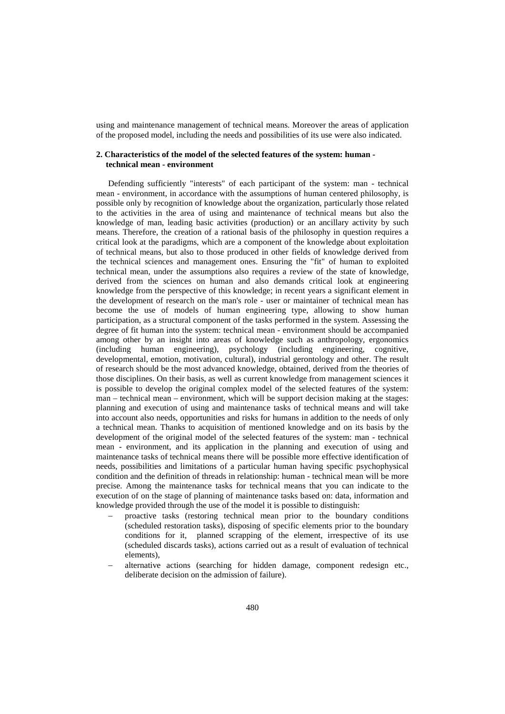using and maintenance management of technical means. Moreover the areas of application of the proposed model, including the needs and possibilities of its use were also indicated.

## **2. Characteristics of the model of the selected features of the system: human technical mean - environment**

Defending sufficiently "interests" of each participant of the system: man - technical mean - environment, in accordance with the assumptions of human centered philosophy, is possible only by recognition of knowledge about the organization, particularly those related to the activities in the area of using and maintenance of technical means but also the knowledge of man, leading basic activities (production) or an ancillary activity by such means. Therefore, the creation of a rational basis of the philosophy in question requires a critical look at the paradigms, which are a component of the knowledge about exploitation of technical means, but also to those produced in other fields of knowledge derived from the technical sciences and management ones. Ensuring the "fit" of human to exploited technical mean, under the assumptions also requires a review of the state of knowledge, derived from the sciences on human and also demands critical look at engineering knowledge from the perspective of this knowledge; in recent years a significant element in the development of research on the man's role - user or maintainer of technical mean has become the use of models of human engineering type, allowing to show human participation, as a structural component of the tasks performed in the system. Assessing the degree of fit human into the system: technical mean - environment should be accompanied among other by an insight into areas of knowledge such as anthropology, ergonomics (including human engineering), psychology (including engineering, cognitive, developmental, emotion, motivation, cultural), industrial gerontology and other. The result of research should be the most advanced knowledge, obtained, derived from the theories of those disciplines. On their basis, as well as current knowledge from management sciences it is possible to develop the original complex model of the selected features of the system: man – technical mean – environment, which will be support decision making at the stages: planning and execution of using and maintenance tasks of technical means and will take into account also needs, opportunities and risks for humans in addition to the needs of only a technical mean. Thanks to acquisition of mentioned knowledge and on its basis by the development of the original model of the selected features of the system: man - technical mean - environment, and its application in the planning and execution of using and maintenance tasks of technical means there will be possible more effective identification of needs, possibilities and limitations of a particular human having specific psychophysical condition and the definition of threads in relationship: human - technical mean will be more precise. Among the maintenance tasks for technical means that you can indicate to the execution of on the stage of planning of maintenance tasks based on: data, information and knowledge provided through the use of the model it is possible to distinguish:

- proactive tasks (restoring technical mean prior to the boundary conditions (scheduled restoration tasks), disposing of specific elements prior to the boundary conditions for it, planned scrapping of the element, irrespective of its use (scheduled discards tasks), actions carried out as a result of evaluation of technical elements),
- alternative actions (searching for hidden damage, component redesign etc., deliberate decision on the admission of failure).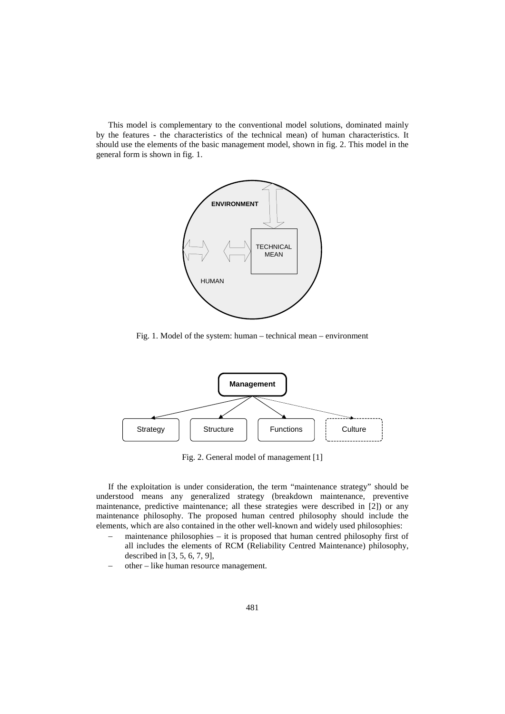This model is complementary to the conventional model solutions, dominated mainly by the features - the characteristics of the technical mean) of human characteristics. It should use the elements of the basic management model, shown in fig. 2. This model in the general form is shown in fig. 1.



Fig. 1. Model of the system: human – technical mean – environment



Fig. 2. General model of management [1]

If the exploitation is under consideration, the term "maintenance strategy" should be understood means any generalized strategy (breakdown maintenance, preventive maintenance, predictive maintenance; all these strategies were described in [2]) or any maintenance philosophy. The proposed human centred philosophy should include the elements, which are also contained in the other well-known and widely used philosophies:

- maintenance philosophies it is proposed that human centred philosophy first of all includes the elements of RCM (Reliability Centred Maintenance) philosophy, described in [3, 5, 6, 7, 9],
- − other like human resource management.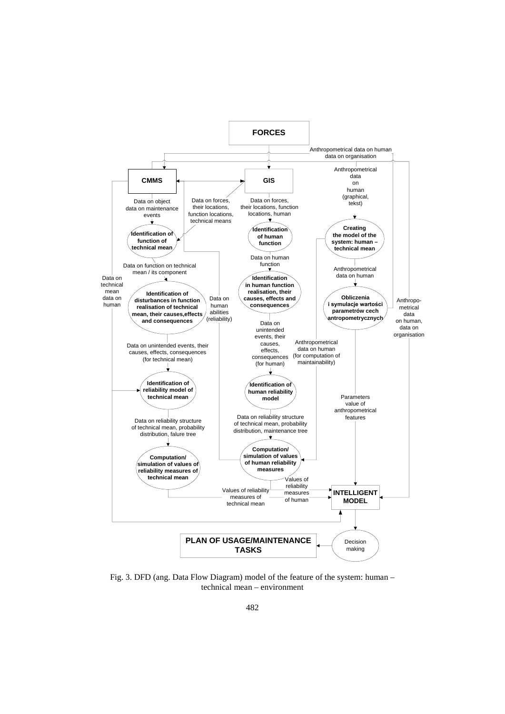

Fig. 3. DFD (ang. Data Flow Diagram) model of the feature of the system: human – technical mean – environment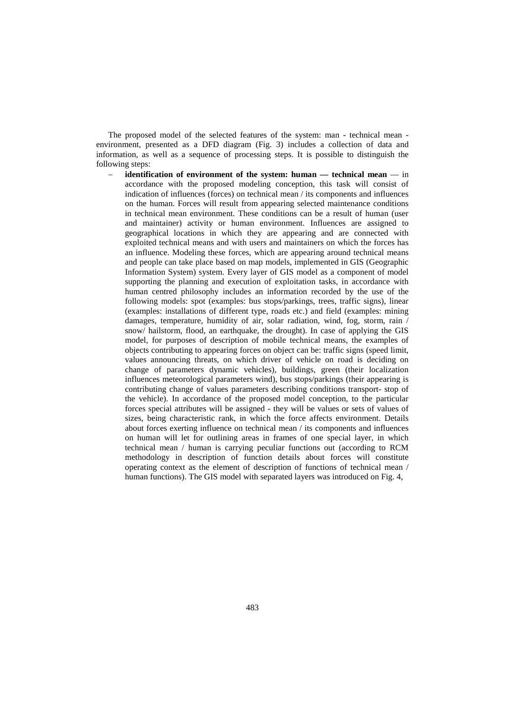The proposed model of the selected features of the system: man - technical mean environment, presented as a DFD diagram (Fig. 3) includes a collection of data and information, as well as a sequence of processing steps. It is possible to distinguish the following steps:

− **identification of environment of the system: human — technical mean** — in accordance with the proposed modeling conception, this task will consist of indication of influences (forces) on technical mean / its components and influences on the human. Forces will result from appearing selected maintenance conditions in technical mean environment. These conditions can be a result of human (user and maintainer) activity or human environment. Influences are assigned to geographical locations in which they are appearing and are connected with exploited technical means and with users and maintainers on which the forces has an influence. Modeling these forces, which are appearing around technical means and people can take place based on map models, implemented in GIS (Geographic Information System) system. Every layer of GIS model as a component of model supporting the planning and execution of exploitation tasks, in accordance with human centred philosophy includes an information recorded by the use of the following models: spot (examples: bus stops/parkings, trees, traffic signs), linear (examples: installations of different type, roads etc.) and field (examples: mining damages, temperature, humidity of air, solar radiation, wind, fog, storm, rain / snow/ [hailstorm,](http://hailstorm.flood.an/) flood, an earthquake, the drought). In case of applying the GIS model, for purposes of description of mobile technical means, the examples of objects contributing to appearing forces on object can be: traffic signs (speed limit, values announcing threats, on which driver of vehicle on road is deciding on change of parameters dynamic vehicles), buildings, green (their localization influences meteorological parameters wind), bus stops/parkings (their appearing is contributing change of values parameters describing conditions transport- stop of the vehicle). In accordance of the proposed model conception, to the particular forces special attributes will be assigned - they will be values or sets of values of sizes, being characteristic rank, in which the force affects environment. Details about forces exerting influence on technical mean / its components and influences on human will let for outlining areas in frames of one special layer, in which technical mean / human is carrying peculiar functions out (according to RCM methodology in description of function details about forces will constitute operating context as the element of description of functions of technical mean / human functions). The GIS model with separated layers was introduced on Fig. 4,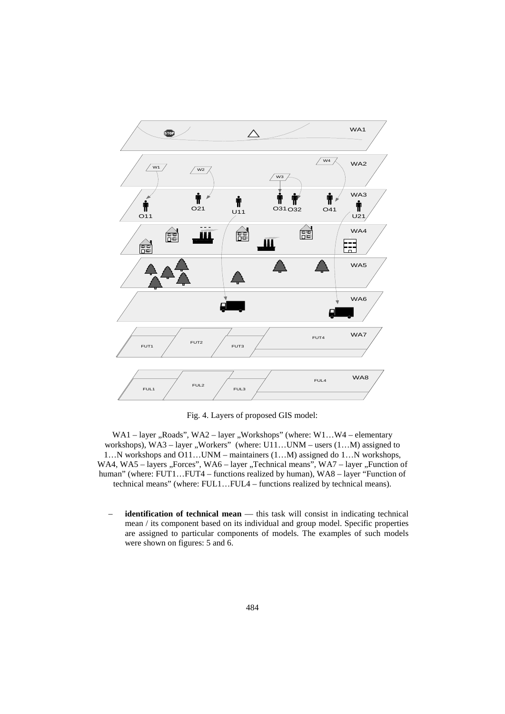

Fig. 4. Layers of proposed GIS model:

WA1 – layer "Roads", WA2 – layer "Workshops" (where:  $W1...W4$  – elementary workshops),  $WA3 - layer$ , Workers" (where:  $U11...UNM - users$   $(1...M)$  assigned to 1…N workshops and O11…UNM – maintainers (1…M) assigned do 1…N workshops, WA4, WA5 - layers "Forces", WA6 - layer "Technical means", WA7 - layer "Function of human" (where: FUT1…FUT4 – functions realized by human), WA8 – layer "Function of technical means" (where: FUL1…FUL4 – functions realized by technical means).

identification of technical mean — this task will consist in indicating technical mean / its component based on its individual and group model. Specific properties are assigned to particular components of models. The examples of such models were shown on figures: 5 and 6.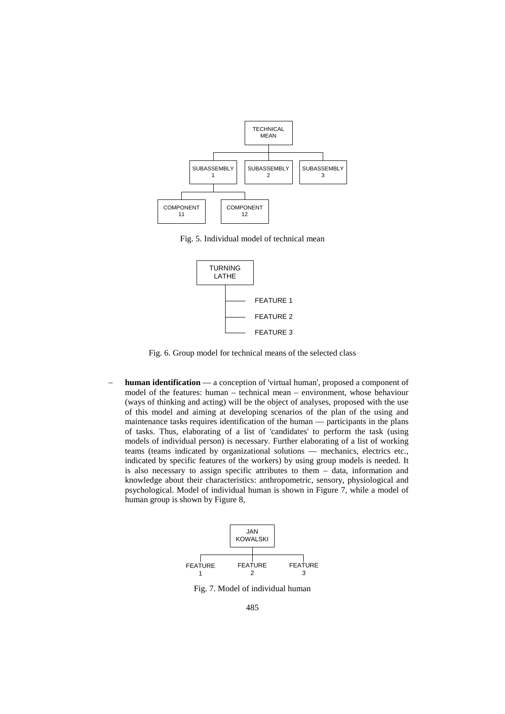

Fig. 5. Individual model of technical mean



Fig. 6. Group model for technical means of the selected class

**human identification** — a conception of 'virtual human', proposed a component of model of the features: human – technical mean – environment, whose behaviour (ways of thinking and acting) will be the object of analyses, proposed with the use of this model and aiming at developing scenarios of the plan of the using and maintenance tasks requires identification of the human — participants in the plans of tasks. Thus, elaborating of a list of 'candidates' to perform the task (using models of individual person) is necessary. Further elaborating of a list of working teams (teams indicated by organizational solutions — mechanics, electrics etc., indicated by specific features of the workers) by using group models is needed. It is also necessary to assign specific attributes to them – data, information and knowledge about their characteristics: anthropometric, sensory, physiological and psychological. Model of individual human is shown in Figure 7, while a model of human group is shown by Figure 8,



Fig. 7. Model of individual human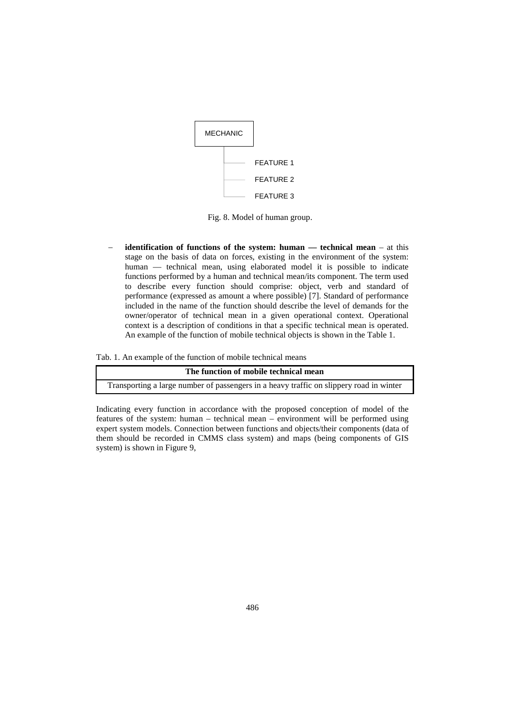

Fig. 8. Model of human group.

− **identification of functions of the system: human — technical mean** – at this stage on the basis of data on forces, existing in the environment of the system: human — technical mean, using elaborated model it is possible to indicate functions performed by a human and technical mean/its component. The term used to describe every function should comprise: object, verb and standard of performance (expressed as amount a where possible) [7]. Standard of performance included in the name of the function should describe the level of demands for the owner/operator of technical mean in a given operational context. Operational context is a description of conditions in that a specific technical mean is operated. An example of the function of mobile technical objects is shown in the Table 1.

Tab. 1. An example of the function of mobile technical means

| The function of mobile technical mean                                                   |  |
|-----------------------------------------------------------------------------------------|--|
| Transporting a large number of passengers in a heavy traffic on slippery road in winter |  |

Indicating every function in accordance with the proposed conception of model of the features of the system: human – technical mean – environment will be performed using expert system models. Connection between functions and objects/their components (data of them should be recorded in CMMS class system) and maps (being components of GIS system) is shown in Figure 9,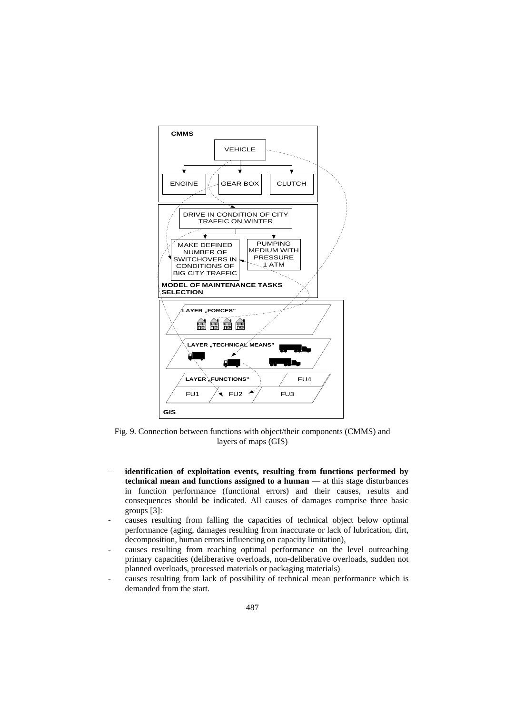

Fig. 9. Connection between functions with object/their components (CMMS) and layers of maps (GIS)

- − **identification of exploitation events, resulting from functions performed by technical mean and functions assigned to a human** — at this stage disturbances in function performance (functional errors) and their causes, results and consequences should be indicated. All causes of damages comprise three basic groups [3]:
- causes resulting from falling the capacities of technical object below optimal performance (aging, damages resulting from inaccurate or lack of lubrication, dirt, decomposition, human errors influencing on capacity limitation),
- causes resulting from reaching optimal performance on the level outreaching primary capacities (deliberative overloads, non-deliberative overloads, sudden not planned overloads, processed materials or packaging materials)
- causes resulting from lack of possibility of technical mean performance which is demanded from the start.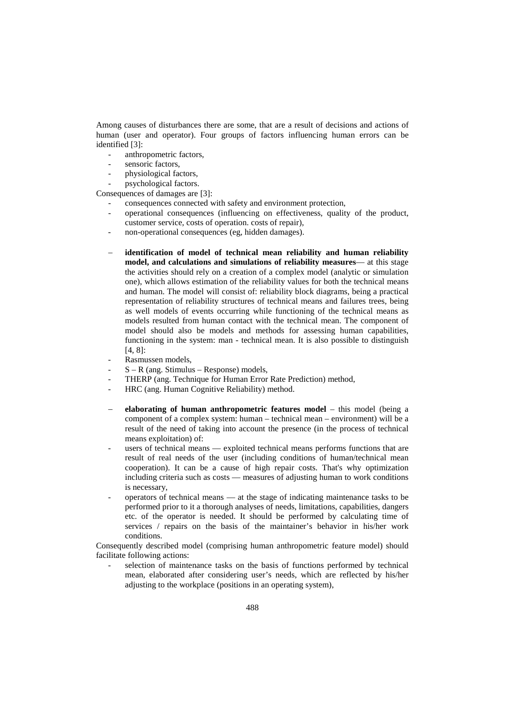Among causes of disturbances there are some, that are a result of decisions and actions of human (user and operator). Four groups of factors influencing human errors can be identified [3]:

- anthropometric factors,
- sensoric factors,
- physiological factors.
- psychological factors.

Consequences of damages are [3]:

- consequences connected with safety and environment protection,
- operational consequences (influencing on effectiveness, quality of the product, customer service, costs of operation. costs of repair),
- non-operational consequences (eg, hidden damages).
- − **identification of model of technical mean reliability and human reliability model, and calculations and simulations of reliability measures**— at this stage the activities should rely on a creation of a complex model (analytic or simulation one), which allows estimation of the reliability values for both the technical means and human. The model will consist of: reliability block diagrams, being a practical representation of reliability structures of technical means and failures trees, being as well models of events occurring while functioning of the technical means as models resulted from human contact with the technical mean. The component of model should also be models and methods for assessing human capabilities, functioning in the system: man - technical mean. It is also possible to distinguish [4, 8]:
- Rasmussen models.
- $S R$  (ang. Stimulus Response) models,
- THERP (ang. Technique for Human Error Rate Prediction) method,
- HRC (ang. Human Cognitive Reliability) method.
- − **elaborating of human anthropometric features model** this model (being a component of a complex system: human – technical mean – environment) will be a result of the need of taking into account the presence (in the process of technical means exploitation) of:
- users of technical means exploited technical means performs functions that are result of real needs of the user (including conditions of human/technical mean cooperation). It can be a cause of high repair costs. That's why optimization including criteria such as costs — measures of adjusting human to work conditions is necessary,
- operators of technical means at the stage of indicating maintenance tasks to be performed prior to it a thorough analyses of needs, limitations, capabilities, dangers etc. of the operator is needed. It should be performed by calculating time of services / repairs on the basis of the maintainer's behavior in his/her work conditions.

Consequently described model (comprising human anthropometric feature model) should facilitate following actions:

selection of maintenance tasks on the basis of functions performed by technical mean, elaborated after considering user's needs, which are reflected by his/her adjusting to the workplace (positions in an operating system),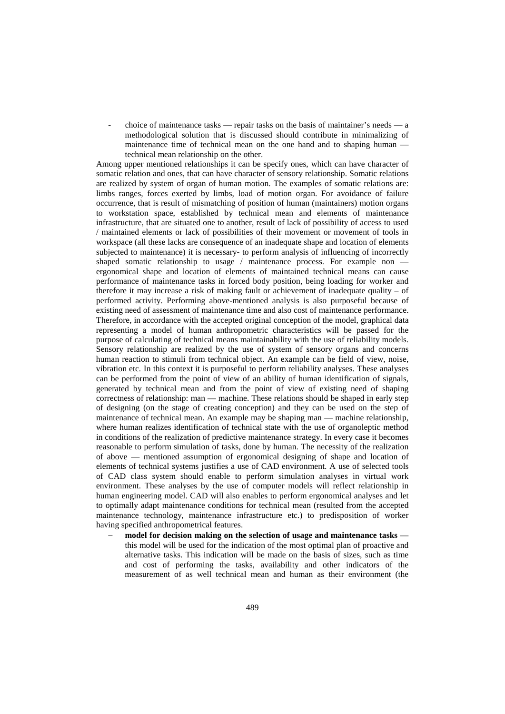- choice of maintenance tasks — repair tasks on the basis of maintainer's needs — a methodological solution that is discussed should contribute in minimalizing of maintenance time of technical mean on the one hand and to shaping human technical mean relationship on the other.

Among upper mentioned relationships it can be specify ones, which can have character of somatic relation and ones, that can have character of sensory relationship. Somatic relations are realized by system of organ of human motion. The examples of somatic relations are: limbs ranges, forces exerted by limbs, load of motion organ. For avoidance of failure occurrence, that is result of mismatching of position of human (maintainers) motion organs to workstation space, established by technical mean and elements of maintenance infrastructure, that are situated one to another, result of lack of possibility of access to used / maintained elements or lack of possibilities of their movement or movement of tools in workspace (all these lacks are consequence of an inadequate shape and location of elements subjected to maintenance) it is necessary- to perform analysis of influencing of incorrectly shaped somatic relationship to usage / maintenance process. For example non ergonomical shape and location of elements of maintained technical means can cause performance of maintenance tasks in forced body position, being loading for worker and therefore it may increase a risk of making fault or achievement of inadequate quality – of performed activity. Performing above-mentioned analysis is also purposeful because of existing need of assessment of maintenance time and also cost of maintenance performance. Therefore, in accordance with the accepted original conception of the model, graphical data representing a model of human anthropometric characteristics will be passed for the purpose of calculating of technical means maintainability with the use of reliability models. Sensory relationship are realized by the use of system of sensory organs and concerns human reaction to stimuli from technical object. An example can be field of view, noise, vibration etc. In this context it is purposeful to perform reliability analyses. These analyses can be performed from the point of view of an ability of human identification of signals, generated by technical mean and from the point of view of existing need of shaping correctness of relationship: man — machine. These relations should be shaped in early step of designing (on the stage of creating conception) and they can be used on the step of maintenance of technical mean. An example may be shaping man — machine relationship, where human realizes identification of technical state with the use of organoleptic method in conditions of the realization of predictive maintenance strategy. In every case it becomes reasonable to perform simulation of tasks, done by human. The necessity of the realization of above — mentioned assumption of ergonomical designing of shape and location of elements of technical systems justifies a use of CAD environment. A use of selected tools of CAD class system should enable to perform simulation analyses in virtual work environment. These analyses by the use of computer models will reflect relationship in human engineering model. CAD will also enables to perform ergonomical analyses and let to optimally adapt maintenance conditions for technical mean (resulted from the accepted maintenance technology, maintenance infrastructure etc.) to predisposition of worker having specified anthropometrical features.

− **model for decision making on the selection of usage and maintenance tasks** this model will be used for the indication of the most optimal plan of proactive and alternative tasks. This indication will be made on the basis of sizes, such as time and cost of performing the tasks, availability and other indicators of the measurement of as well technical mean and human as their environment (the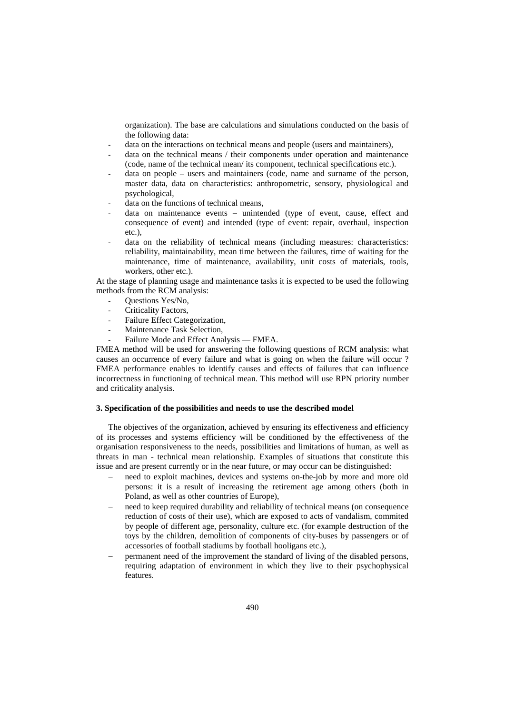organization). The base are calculations and simulations conducted on the basis of the following data:

- data on the interactions on technical means and people (users and maintainers),
- data on the technical means / their components under operation and maintenance (code, name of the technical mean/ its component, technical specifications etc.).
- data on people users and maintainers (code, name and surname of the person, master data, data on characteristics: anthropometric, sensory, physiological and psychological,
- data on the functions of technical means,
- data on maintenance events unintended (type of event, cause, effect and consequence of event) and intended (type of event: repair, overhaul, inspection etc.),
- data on the reliability of technical means (including measures: characteristics: reliability, maintainability, mean time between the failures, time of waiting for the maintenance, time of maintenance, availability, unit costs of materials, tools, workers, other etc.).

At the stage of planning usage and maintenance tasks it is expected to be used the following methods from the RCM analysis:

- Ouestions Yes/No,
- Criticality Factors,
- Failure Effect Categorization,
- Maintenance Task Selection,
- Failure Mode and Effect Analysis FMEA.

FMEA method will be used for answering the following questions of RCM analysis: what causes an occurrence of every failure and what is going on when the failure will occur ? FMEA performance enables to identify causes and effects of failures that can influence incorrectness in functioning of technical mean. This method will use RPN priority number and criticality analysis.

### **3. Specification of the possibilities and needs to use the described model**

The objectives of the organization, achieved by ensuring its effectiveness and efficiency of its processes and systems efficiency will be conditioned by the effectiveness of the organisation responsiveness to the needs, possibilities and limitations of human, as well as threats in man - technical mean relationship. Examples of situations that constitute this issue and are present currently or in the near future, or may occur can be distinguished:

- need to exploit machines, devices and systems on-the-job by more and more old persons: it is a result of increasing the retirement age among others (both in Poland, as well as other countries of Europe),
- need to keep required durability and reliability of technical means (on consequence reduction of costs of their use), which are exposed to acts of vandalism, commited by people of different age, personality, culture etc. (for example destruction of the toys by the children, demolition of components of city-buses by passengers or of accessories of football stadiums by football hooligans etc.),
- permanent need of the improvement the standard of living of the disabled persons, requiring adaptation of environment in which they live to their psychophysical features.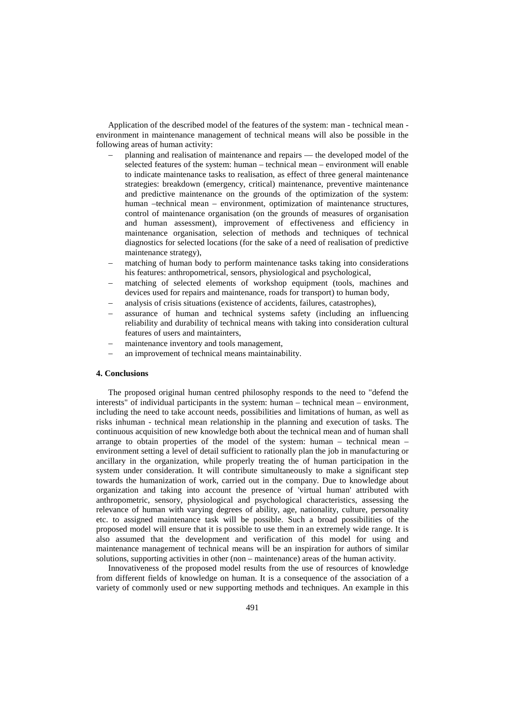Application of the described model of the features of the system: man - technical mean environment in maintenance management of technical means will also be possible in the following areas of human activity:

- − planning and realisation of maintenance and repairs the developed model of the selected features of the system: human – technical mean – environment will enable to indicate maintenance tasks to realisation, as effect of three general maintenance strategies: breakdown (emergency, critical) maintenance, preventive maintenance and predictive maintenance on the grounds of the optimization of the system: human –technical mean – environment, optimization of maintenance structures, control of maintenance organisation (on the grounds of measures of organisation and human assessment), improvement of effectiveness and efficiency in maintenance organisation, selection of methods and techniques of technical diagnostics for selected locations (for the sake of a need of realisation of predictive maintenance strategy),
- matching of human body to perform maintenance tasks taking into considerations his features: anthropometrical, sensors, physiological and psychological,
- matching of selected elements of workshop equipment (tools, machines and devices used for repairs and maintenance, roads for transport) to human body,
- analysis of crisis situations (existence of accidents, failures, catastrophes),
- assurance of human and technical systems safety (including an influencing reliability and durability of technical means with taking into consideration cultural features of users and maintainters,
- maintenance inventory and tools management,
- an improvement of technical means maintainability.

### **4. Conclusions**

The proposed original human centred philosophy responds to the need to "defend the interests" of individual participants in the system: human – technical mean – environment, including the need to take account needs, possibilities and limitations of human, as well as risks inhuman - technical mean relationship in the planning and execution of tasks. The continuous acquisition of new knowledge both about the technical mean and of human shall arrange to obtain properties of the model of the system: human – technical mean – environment setting a level of detail sufficient to rationally plan the job in manufacturing or ancillary in the organization, while properly treating the of human participation in the system under consideration. It will contribute simultaneously to make a significant step towards the humanization of work, carried out in the company. Due to knowledge about organization and taking into account the presence of 'virtual human' attributed with anthropometric, sensory, physiological and psychological characteristics, assessing the relevance of human with varying degrees of ability, age, nationality, culture, personality etc. to assigned maintenance task will be possible. Such a broad possibilities of the proposed model will ensure that it is possible to use them in an extremely wide range. It is also assumed that the development and verification of this model for using and maintenance management of technical means will be an inspiration for authors of similar solutions, supporting activities in other (non – maintenance) areas of the human activity.

Innovativeness of the proposed model results from the use of resources of knowledge from different fields of knowledge on human. It is a consequence of the association of a variety of commonly used or new supporting methods and techniques. An example in this